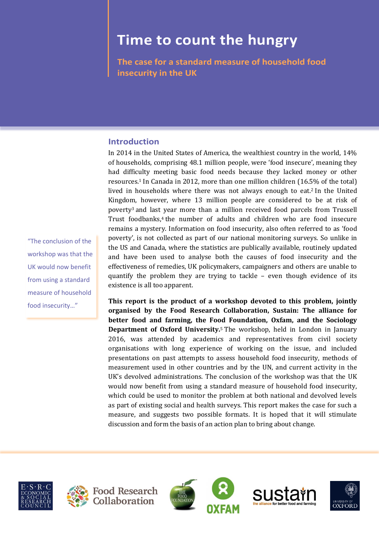# **Time to count the hungry**

**The case for a standard measure of household food insecurity in the UK**

# **Introduction**

In 2014 in the United States of America, the wealthiest country in the world, 14% of households, comprising 48.1 million people, were 'food insecure', meaning they had difficulty meeting basic food needs because they lacked money or other resources.<sup>1</sup> In Canada in 2012, more than one million children (16.5% of the total) lived in households where there was not always enough to eat.<sup>2</sup> In the United Kingdom, however, where 13 million people are considered to be at risk of poverty<sup>3</sup> and last year more than a million received food parcels from Trussell Trust foodbanks,<sup>4</sup> the number of adults and children who are food insecure remains a mystery. Information on food insecurity, also often referred to as 'food poverty', is not collected as part of our national monitoring surveys. So unlike in the US and Canada, where the statistics are publically available, routinely updated and have been used to analyse both the causes of food insecurity and the effectiveness of remedies, UK policymakers, campaigners and others are unable to quantify the problem they are trying to tackle – even though evidence of its existence is all too apparent.

**This report is the product of a workshop devoted to this problem, jointly organised by the Food Research Collaboration, Sustain: The alliance for better food and farming, the Food Foundation, Oxfam, and the Sociology Department of Oxford University.**<sup>5</sup> The workshop, held in London in January 2016, was attended by academics and representatives from civil society organisations with long experience of working on the issue, and included presentations on past attempts to assess household food insecurity, methods of measurement used in other countries and by the UN, and current activity in the UK's devolved administrations. The conclusion of the workshop was that the UK would now benefit from using a standard measure of household food insecurity, which could be used to monitor the problem at both national and devolved levels as part of existing social and health surveys. This report makes the case for such a measure, and suggests two possible formats. It is hoped that it will stimulate discussion and form the basis of an action plan to bring about change.











"The conclusion of the workshop was that the UK would now benefit from using a standard measure of household food insecurity…"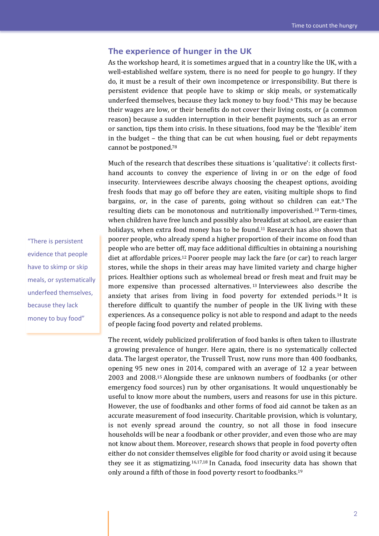## **The experience of hunger in the UK**

As the workshop heard, it is sometimes argued that in a country like the UK, with a well-established welfare system, there is no need for people to go hungry. If they do, it must be a result of their own incompetence or irresponsibility. But there is persistent evidence that people have to skimp or skip meals, or systematically underfeed themselves, because they lack money to buy food.<sup>6</sup> This may be because their wages are low, or their benefits do not cover their living costs, or (a common reason) because a sudden interruption in their benefit payments, such as an error or sanction, tips them into crisis. In these situations, food may be the 'flexible' item in the budget – the thing that can be cut when housing, fuel or debt repayments cannot be postponed.<sup>78</sup>

Much of the research that describes these situations is 'qualitative': it collects firsthand accounts to convey the experience of living in or on the edge of food insecurity. Interviewees describe always choosing the cheapest options, avoiding fresh foods that may go off before they are eaten, visiting multiple shops to find bargains, or, in the case of parents, going without so children can eat.<sup>9</sup> The resulting diets can be monotonous and nutritionally impoverished.<sup>10</sup> Term-times, when children have free lunch and possibly also breakfast at school, are easier than holidays, when extra food money has to be found.<sup>11</sup> Research has also shown that poorer people, who already spend a higher proportion of their income on food than people who are better off, may face additional difficulties in obtaining a nourishing diet at affordable prices.<sup>12</sup> Poorer people may lack the fare (or car) to reach larger stores, while the shops in their areas may have limited variety and charge higher prices. Healthier options such as wholemeal bread or fresh meat and fruit may be more expensive than processed alternatives. <sup>13</sup> Interviewees also describe the anxiety that arises from living in food poverty for extended periods.<sup>14</sup> It is therefore difficult to quantify the number of people in the UK living with these experiences. As a consequence policy is not able to respond and adapt to the needs of people facing food poverty and related problems.

The recent, widely publicized proliferation of food banks is often taken to illustrate a growing prevalence of hunger. Here again, there is no systematically collected data. The largest operator, the Trussell Trust, now runs more than 400 foodbanks, opening 95 new ones in 2014, compared with an average of 12 a year between 2003 and 2008.<sup>15</sup> Alongside these are unknown numbers of foodbanks (or other emergency food sources) run by other organisations. It would unquestionably be useful to know more about the numbers, users and reasons for use in this picture. However, the use of foodbanks and other forms of food aid cannot be taken as an accurate measurement of food insecurity. Charitable provision, which is voluntary, is not evenly spread around the country, so not all those in food insecure households will be near a foodbank or other provider, and even those who are may not know about them. Moreover, research shows that people in food poverty often either do not consider themselves eligible for food charity or avoid using it because they see it as stigmatizing.16,17,18 In Canada, food insecurity data has shown that only around a fifth of those in food poverty resort to foodbanks.<sup>19</sup>

"There is persistent evidence that people have to skimp or skip meals, or systematically underfeed themselves, because they lack money to buy food"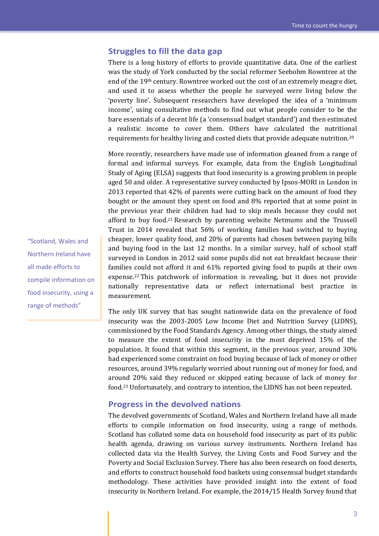## **Struggles to fill the data gap**

There is a long history of efforts to provide quantitative data. One of the earliest was the study of York conducted by the social reformer Seebohm Rowntree at the end of the 19th century. Rowntree worked out the cost of an extremely meagre diet, and used it to assess whether the people he surveyed were living below the 'poverty line'. Subsequent researchers have developed the idea of a 'minimum income', using consultative methods to find out what people consider to be the bare essentials of a decent life (a 'consensual budget standard') and then estimated a realistic income to cover them. Others have calculated the nutritional requirements for healthy living and costed diets that provide adequate nutrition.<sup>20</sup>

More recently, researchers have made use of information gleaned from a range of formal and informal surveys. For example, data from the English Longitudinal Study of Aging (ELSA) suggests that food insecurity is a growing problem in people aged 50 and older. A representative survey conducted by Ipsos-MORI in London in 2013 reported that 42% of parents were cutting back on the amount of food they bought or the amount they spent on food and 8% reported that at some point in the previous year their children had had to skip meals because they could not afford to buy food.<sup>21</sup> Research by parenting website Netmums and the Trussell Trust in 2014 revealed that 56% of working families had switched to buying cheaper, lower quality food, and 20% of parents had chosen between paying bills and buying food in the last 12 months. In a similar survey, half of school staff surveyed in London in 2012 said some pupils did not eat breakfast because their families could not afford it and 61% reported giving food to pupils at their own expense.<sup>22</sup> This patchwork of information is revealing, but it does not provide nationally representative data or reflect international best practice in measurement.

The only UK survey that has sought nationwide data on the prevalence of food insecurity was the 2003-2005 Low Income Diet and Nutrition Survey (LIDNS), commissioned by the Food Standards Agency. Among other things, the study aimed to measure the extent of food insecurity in the most deprived 15% of the population. It found that within this segment, in the previous year, around 30% had experienced some constraint on food buying because of lack of money or other resources, around 39% regularly worried about running out of money for food, and around 20% said they reduced or skipped eating because of lack of money for food.<sup>23</sup> Unfortunately, and contrary to intention, the LIDNS has not been repeated.

#### **Progress in the devolved nations**

The devolved governments of Scotland, Wales and Northern Ireland have all made efforts to compile information on food insecurity, using a range of methods. Scotland has collated some data on household food insecurity as part of its public health agenda, drawing on various survey instruments. Northern Ireland has collected data via the Health Survey, the Living Costs and Food Survey and the Poverty and Social Exclusion Survey. There has also been research on food deserts, and efforts to construct household food baskets using consensual budget standards methodology. These activities have provided insight into the extent of food insecurity in Northern Ireland. For example, the 2014/15 Health Survey found that

"Scotland, Wales and Northern Ireland have all made efforts to compile information on food insecurity, using a range of methods"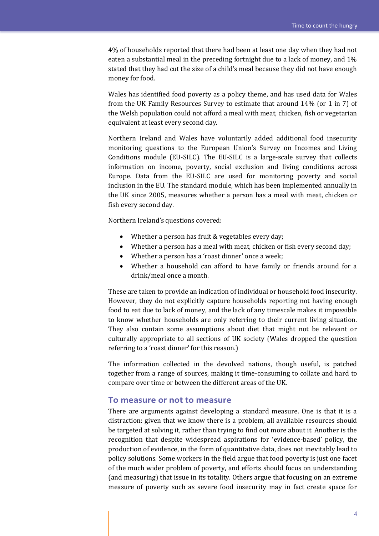4% of households reported that there had been at least one day when they had not eaten a substantial meal in the preceding fortnight due to a lack of money, and 1% stated that they had cut the size of a child's meal because they did not have enough money for food.

Wales has identified food poverty as a policy theme, and has used data for Wales from the UK Family Resources Survey to estimate that around 14% (or 1 in 7) of the Welsh population could not afford a meal with meat, chicken, fish or vegetarian equivalent at least every second day.

Northern Ireland and Wales have voluntarily added additional food insecurity monitoring questions to the European Union's Survey on Incomes and Living Conditions module (EU-SILC). The EU-SILC is a large-scale survey that collects information on income, poverty, social exclusion and living conditions across Europe. Data from the EU-SILC are used for monitoring poverty and social inclusion in the EU. The standard module, which has been implemented annually in the UK since 2005, measures whether a person has a meal with meat, chicken or fish every second day.

Northern Ireland's questions covered:

- Whether a person has fruit & vegetables every day;
- Whether a person has a meal with meat, chicken or fish every second day;
- Whether a person has a 'roast dinner' once a week;
- Whether a household can afford to have family or friends around for a drink/meal once a month.

These are taken to provide an indication of individual or household food insecurity. However, they do not explicitly capture households reporting not having enough food to eat due to lack of money, and the lack of any timescale makes it impossible to know whether households are only referring to their current living situation. They also contain some assumptions about diet that might not be relevant or culturally appropriate to all sections of UK society (Wales dropped the question referring to a 'roast dinner' for this reason.)

The information collected in the devolved nations, though useful, is patched together from a range of sources, making it time-consuming to collate and hard to compare over time or between the different areas of the UK.

#### **To measure or not to measure**

There are arguments against developing a standard measure. One is that it is a distraction: given that we know there is a problem, all available resources should be targeted at solving it, rather than trying to find out more about it. Another is the recognition that despite widespread aspirations for 'evidence-based' policy, the production of evidence, in the form of quantitative data, does not inevitably lead to policy solutions. Some workers in the field argue that food poverty is just one facet of the much wider problem of poverty, and efforts should focus on understanding (and measuring) that issue in its totality. Others argue that focusing on an extreme measure of poverty such as severe food insecurity may in fact create space for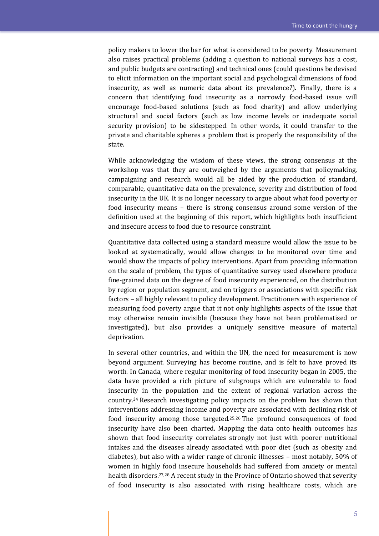policy makers to lower the bar for what is considered to be poverty. Measurement also raises practical problems (adding a question to national surveys has a cost, and public budgets are contracting) and technical ones (could questions be devised to elicit information on the important social and psychological dimensions of food insecurity, as well as numeric data about its prevalence?). Finally, there is a concern that identifying food insecurity as a narrowly food-based issue will encourage food-based solutions (such as food charity) and allow underlying structural and social factors (such as low income levels or inadequate social security provision) to be sidestepped. In other words, it could transfer to the private and charitable spheres a problem that is properly the responsibility of the state.

While acknowledging the wisdom of these views, the strong consensus at the workshop was that they are outweighed by the arguments that policymaking, campaigning and research would all be aided by the production of standard, comparable, quantitative data on the prevalence, severity and distribution of food insecurity in the UK. It is no longer necessary to argue about what food poverty or food insecurity means – there is strong consensus around some version of the definition used at the beginning of this report, which highlights both insufficient and insecure access to food due to resource constraint.

Quantitative data collected using a standard measure would allow the issue to be looked at systematically, would allow changes to be monitored over time and would show the impacts of policy interventions. Apart from providing information on the scale of problem, the types of quantitative survey used elsewhere produce fine-grained data on the degree of food insecurity experienced, on the distribution by region or population segment, and on triggers or associations with specific risk factors – all highly relevant to policy development. Practitioners with experience of measuring food poverty argue that it not only highlights aspects of the issue that may otherwise remain invisible (because they have not been problematised or investigated), but also provides a uniquely sensitive measure of material deprivation.

In several other countries, and within the UN, the need for measurement is now beyond argument. Surveying has become routine, and is felt to have proved its worth. In Canada, where regular monitoring of food insecurity began in 2005, the data have provided a rich picture of subgroups which are vulnerable to food insecurity in the population and the extent of regional variation across the country.<sup>24</sup> Research investigating policy impacts on the problem has shown that interventions addressing income and poverty are associated with declining risk of food insecurity among those targeted.25,26 The profound consequences of food insecurity have also been charted. Mapping the data onto health outcomes has shown that food insecurity correlates strongly not just with poorer nutritional intakes and the diseases already associated with poor diet (such as obesity and diabetes), but also with a wider range of chronic illnesses – most notably, 50% of women in highly food insecure households had suffered from anxiety or mental health disorders.27,28 A recent study in the Province of Ontario showed that severity of food insecurity is also associated with rising healthcare costs, which are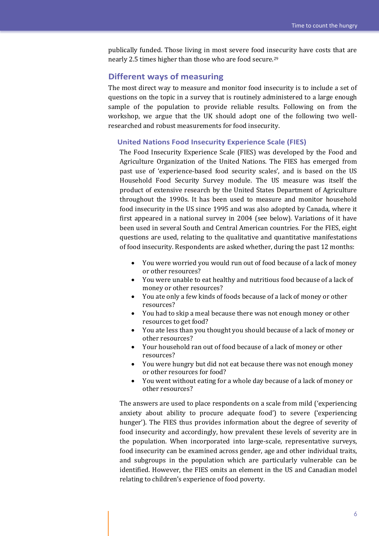publically funded. Those living in most severe food insecurity have costs that are nearly 2.5 times higher than those who are food secure.<sup>29</sup>

#### **Different ways of measuring**

The most direct way to measure and monitor food insecurity is to include a set of questions on the topic in a survey that is routinely administered to a large enough sample of the population to provide reliable results. Following on from the workshop, we argue that the UK should adopt one of the following two wellresearched and robust measurements for food insecurity.

#### **United Nations Food Insecurity Experience Scale (FIES)**

The Food Insecurity Experience Scale (FIES) was developed by the Food and Agriculture Organization of the United Nations. The FIES has emerged from past use of 'experience-based food security scales', and is based on the US Household Food Security Survey module. The US measure was itself the product of extensive research by the United States Department of Agriculture throughout the 1990s. It has been used to measure and monitor household food insecurity in the US since 1995 and was also adopted by Canada, where it first appeared in a national survey in 2004 (see below). Variations of it have been used in several South and Central American countries. For the FIES, eight questions are used, relating to the qualitative and quantitative manifestations of food insecurity. Respondents are asked whether, during the past 12 months:

- You were worried you would run out of food because of a lack of money or other resources?
- You were unable to eat healthy and nutritious food because of a lack of money or other resources?
- You ate only a few kinds of foods because of a lack of money or other resources?
- You had to skip a meal because there was not enough money or other resources to get food?
- You ate less than you thought you should because of a lack of money or other resources?
- Your household ran out of food because of a lack of money or other resources?
- You were hungry but did not eat because there was not enough money or other resources for food?
- You went without eating for a whole day because of a lack of money or other resources?

The answers are used to place respondents on a scale from mild ('experiencing anxiety about ability to procure adequate food') to severe ('experiencing hunger'). The FIES thus provides information about the degree of severity of food insecurity and accordingly, how prevalent these levels of severity are in the population. When incorporated into large-scale, representative surveys, food insecurity can be examined across gender, age and other individual traits, and subgroups in the population which are particularly vulnerable can be identified. However, the FIES omits an element in the US and Canadian model relating to children's experience of food poverty.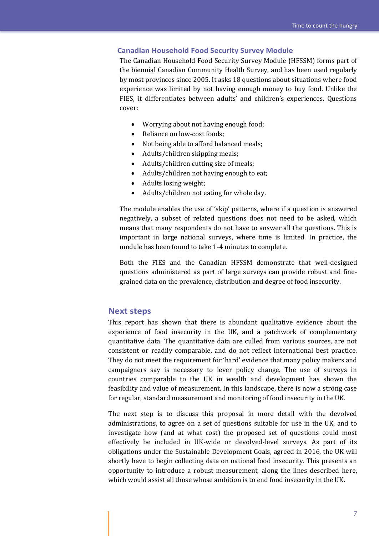#### **Canadian Household Food Security Survey Module**

The Canadian Household Food Security Survey Module (HFSSM) forms part of the biennial Canadian Community Health Survey, and has been used regularly by most provinces since 2005. It asks 18 questions about situations where food experience was limited by not having enough money to buy food. Unlike the FIES, it differentiates between adults' and children's experiences. Questions cover:

- Worrying about not having enough food;
- Reliance on low-cost foods;
- Not being able to afford balanced meals;
- Adults/children skipping meals;
- Adults/children cutting size of meals;
- Adults/children not having enough to eat;
- Adults losing weight:
- Adults/children not eating for whole day.

The module enables the use of 'skip' patterns, where if a question is answered negatively, a subset of related questions does not need to be asked, which means that many respondents do not have to answer all the questions. This is important in large national surveys, where time is limited. In practice, the module has been found to take 1-4 minutes to complete.

Both the FIES and the Canadian HFSSM demonstrate that well-designed questions administered as part of large surveys can provide robust and finegrained data on the prevalence, distribution and degree of food insecurity.

## **Next steps**

This report has shown that there is abundant qualitative evidence about the experience of food insecurity in the UK, and a patchwork of complementary quantitative data. The quantitative data are culled from various sources, are not consistent or readily comparable, and do not reflect international best practice. They do not meet the requirement for 'hard' evidence that many policy makers and campaigners say is necessary to lever policy change. The use of surveys in countries comparable to the UK in wealth and development has shown the feasibility and value of measurement. In this landscape, there is now a strong case for regular, standard measurement and monitoring of food insecurity in the UK.

The next step is to discuss this proposal in more detail with the devolved administrations, to agree on a set of questions suitable for use in the UK, and to investigate how (and at what cost) the proposed set of questions could most effectively be included in UK-wide or devolved-level surveys. As part of its obligations under the Sustainable Development Goals, agreed in 2016, the UK will shortly have to begin collecting data on national food insecurity. This presents an opportunity to introduce a robust measurement, along the lines described here, which would assist all those whose ambition is to end food insecurity in the UK.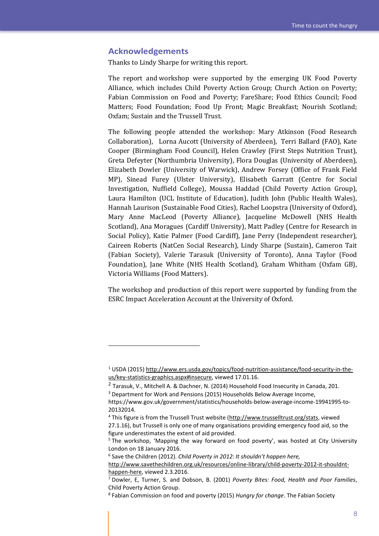## **Acknowledgements**

 $\overline{a}$ 

Thanks to Lindy Sharpe for writing this report.

The report and workshop were supported by the emerging UK Food Poverty Alliance, which includes Child Poverty Action Group; Church Action on Poverty; Fabian Commission on Food and Poverty; FareShare; Food Ethics Council; Food Matters; Food Foundation; Food Up Front; Magic Breakfast; Nourish Scotland; Oxfam; Sustain and the Trussell Trust.

The following people attended the workshop: Mary Atkinson (Food Research Collaboration), Lorna Aucott (University of Aberdeen), Terri Ballard (FAO), Kate Cooper (Birmingham Food Council), Helen Crawley (First Steps Nutrition Trust), Greta Defeyter (Northumbria University), Flora Douglas (University of Aberdeen), Elizabeth Dowler (University of Warwick), Andrew Forsey (Office of Frank Field MP), Sinead Furey (Ulster University), Elisabeth Garratt (Centre for Social Investigation, Nuffield College), Moussa Haddad (Child Poverty Action Group), Laura Hamilton (UCL Institute of Education), Judith John (Public Health Wales), Hannah Laurison (Sustainable Food Cities), Rachel Loopstra (University of Oxford), Mary Anne MacLeod (Poverty Alliance), Jacqueline McDowell (NHS Health Scotland), Ana Moragues (Cardiff University), Matt Padley (Centre for Research in Social Policy), Katie Palmer (Food Cardiff), Jane Perry (Independent researcher), Caireen Roberts (NatCen Social Research), Lindy Sharpe (Sustain), Cameron Tait (Fabian Society), Valerie Tarasuk (University of Toronto), Anna Taylor (Food Foundation), Jane White (NHS Health Scotland), Graham Whitham (Oxfam GB), Victoria Williams (Food Matters).

The workshop and production of this report were supported by funding from the ESRC Impact Acceleration Account at the University of Oxford.

<sup>1</sup> USDA (2015[\) http://www.ers.usda.gov/topics/food-nutrition-assistance/food-security-in-the](http://www.ers.usda.gov/topics/food-nutrition-assistance/food-security-in-the-us/key-statistics-graphics.aspx#insecure)[us/key-statistics-graphics.aspx#insecure,](http://www.ers.usda.gov/topics/food-nutrition-assistance/food-security-in-the-us/key-statistics-graphics.aspx#insecure) viewed 17.01.16.

<sup>&</sup>lt;sup>2</sup> Tarasuk, V., Mitchell A. & Dachner, N. (2014) Household Food Insecurity in Canada, 201.

<sup>&</sup>lt;sup>3</sup> Department for Work and Pensions (2015) Households Below Average Income,

https://www.gov.uk/government/statistics/households-below-average-income-19941995-to-20132014.

<sup>4</sup> This figure is from the Trussell Trust website [\(http://www.trusselltrust.org/stats,](http://www.trusselltrust.org/stats) viewed 27.1.16), but Trussell is only one of many organisations providing emergency food aid, so the figure underestimates the extent of aid provided.

<sup>&</sup>lt;sup>5</sup> The workshop, 'Mapping the way forward on food poverty', was hosted at City University London on 18 January 2016.

<sup>6</sup> Save the Children (2012). *Child Poverty in 2012: It shouldn't happen here,* 

[http://www.savethechildren.org.uk/resources/online-library/child-poverty-2012-it-shouldnt](http://www.savethechildren.org.uk/resources/online-library/child-poverty-2012-it-shouldnt-happen-here)[happen-here,](http://www.savethechildren.org.uk/resources/online-library/child-poverty-2012-it-shouldnt-happen-here) viewed 2.3.2016.

<sup>7</sup> Dowler, E, Turner, S. and Dobson, B. (2001) *Poverty Bites: Food, Health and Poor Families*, Child Poverty Action Group.

<sup>8</sup> Fabian Commission on food and poverty (2015) *Hungry for change*. The Fabian Society